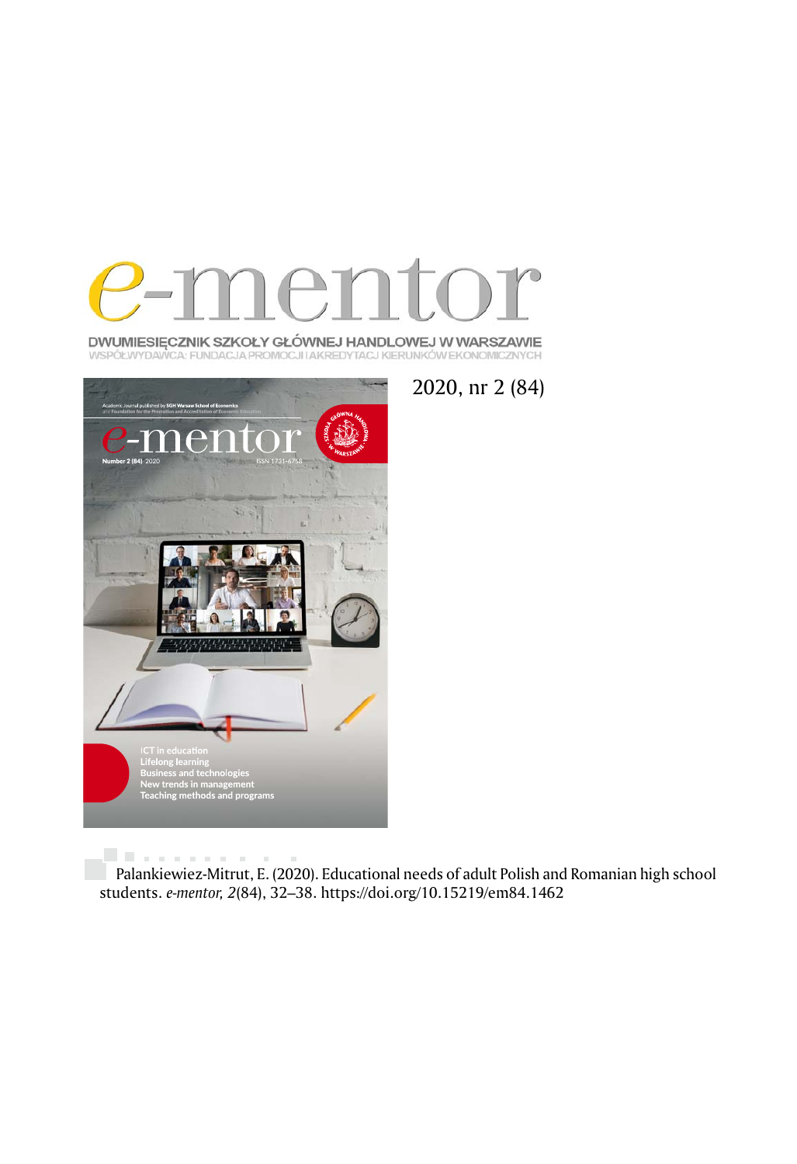

DWUMIESIĘCZNIK SZKOŁY GŁÓWNEJ HANDLOWEJ W WARSZAWIE WSPÓŁWYDAWCA: FUNDACJA PROMOCJI IAKREDYTACJ KIERUNKÓW EKONOMICZNYCH



2020, nr 2 (84)

University and  $\bar{a}$ Palankiewiez-Mitrut, E. (2020). Educational needs of adult Polish and Romanian high school students. *e-mentor, 2*(84), 32–38. https://doi.org/10.15219/em84.1462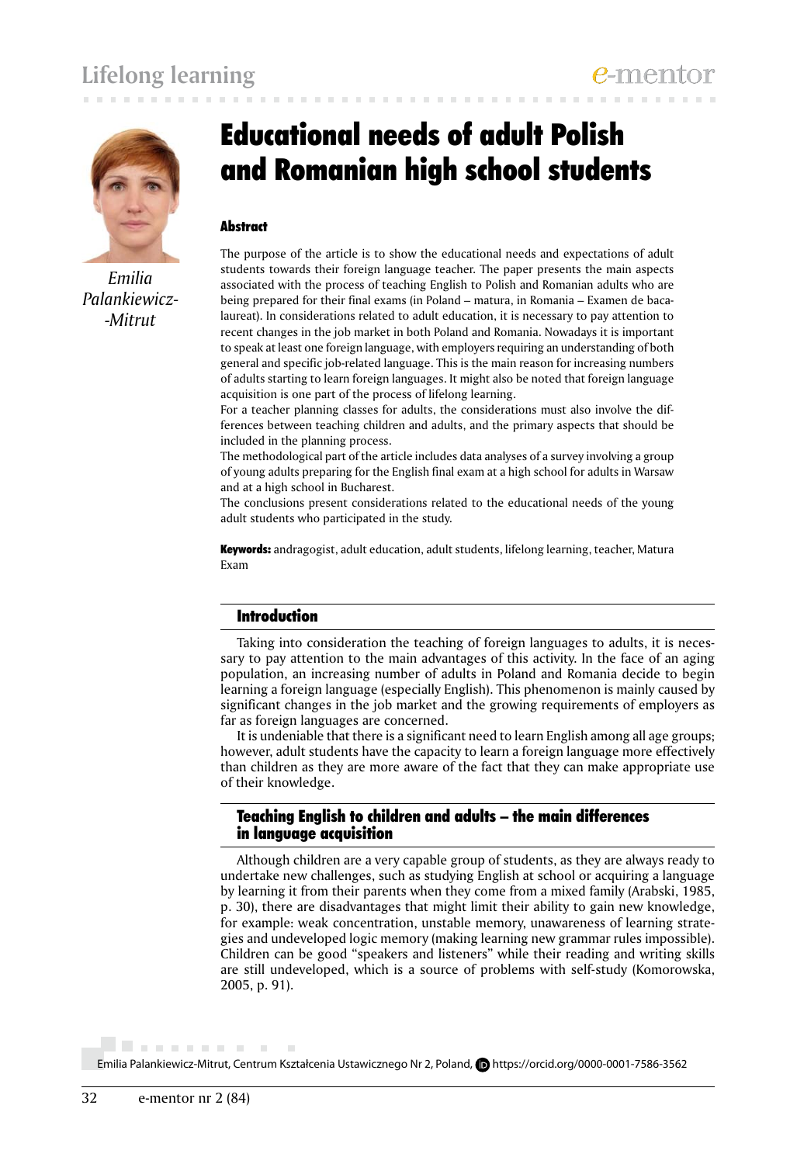

*Emilia Palankiewicz- -Mitrut*

# Educational needs of adult Polish and Romanian high school students

## **Abstract**

The purpose of the article is to show the educational needs and expectations of adult students towards their foreign language teacher. The paper presents the main aspects associated with the process of teaching English to Polish and Romanian adults who are being prepared for their final exams (in Poland – matura, in Romania – Examen de bacalaureat). In considerations related to adult education, it is necessary to pay attention to recent changes in the job market in both Poland and Romania. Nowadays it is important to speak at least one foreign language, with employers requiring an understanding of both general and specific job-related language. This is the main reason for increasing numbers of adults starting to learn foreign languages. It might also be noted that foreign language acquisition is one part of the process of lifelong learning.

For a teacher planning classes for adults, the considerations must also involve the differences between teaching children and adults, and the primary aspects that should be included in the planning process.

The methodological part of the article includes data analyses of a survey involving a group of young adults preparing for the English final exam at a high school for adults in Warsaw and at a high school in Bucharest.

The conclusions present considerations related to the educational needs of the young adult students who participated in the study.

Keywords: andragogist, adult education, adult students, lifelong learning, teacher, Matura Exam

## Introduction

Taking into consideration the teaching of foreign languages to adults, it is necessary to pay attention to the main advantages of this activity. In the face of an aging population, an increasing number of adults in Poland and Romania decide to begin learning a foreign language (especially English). This phenomenon is mainly caused by significant changes in the job market and the growing requirements of employers as far as foreign languages are concerned.

It is undeniable that there is a significant need to learn English among all age groups; however, adult students have the capacity to learn a foreign language more effectively than children as they are more aware of the fact that they can make appropriate use of their knowledge.

## Teaching English to children and adults – the main differences in language acquisition

Although children are a very capable group of students, as they are always ready to undertake new challenges, such as studying English at school or acquiring a language by learning it from their parents when they come from a mixed family (Arabski, 1985, p. 30), there are disadvantages that might limit their ability to gain new knowledge, for example: weak concentration, unstable memory, unawareness of learning strategies and undeveloped logic memory (making learning new grammar rules impossible). Children can be good "speakers and listeners" while their reading and writing skills are still undeveloped, which is a source of problems with self-study (Komorowska, 2005, p. 91).

Emilia Palankiewicz-Mitrut, Centrum Kształcenia Ustawicznego Nr 2, Poland, **D** https://orcid.org/0000-0001-7586-3562

. . . . . . . . . . .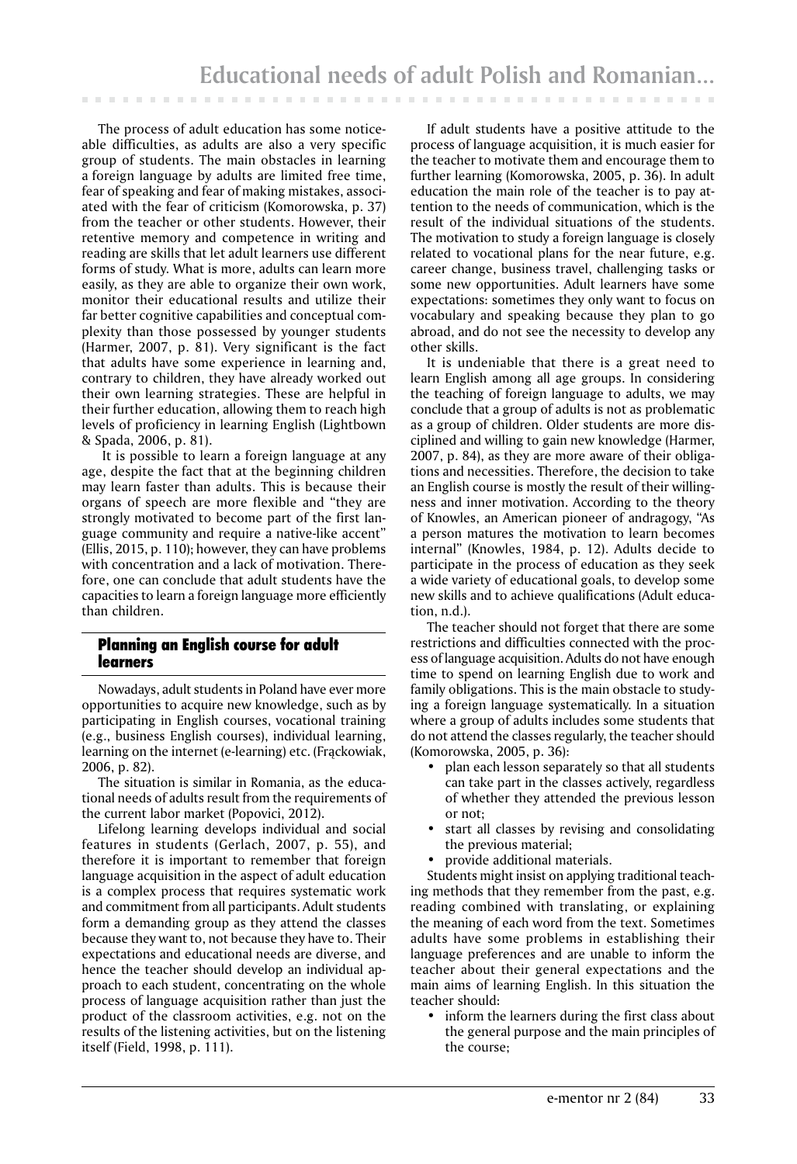The process of adult education has some noticeable difficulties, as adults are also a very specific group of students. The main obstacles in learning a foreign language by adults are limited free time, fear of speaking and fear of making mistakes, associated with the fear of criticism (Komorowska, p. 37) from the teacher or other students. However, their retentive memory and competence in writing and reading are skills that let adult learners use different forms of study. What is more, adults can learn more easily, as they are able to organize their own work, monitor their educational results and utilize their far better cognitive capabilities and conceptual complexity than those possessed by younger students (Harmer, 2007, p. 81). Very significant is the fact that adults have some experience in learning and, contrary to children, they have already worked out their own learning strategies. These are helpful in their further education, allowing them to reach high levels of proficiency in learning English (Lightbown & Spada, 2006, p. 81).

 It is possible to learn a foreign language at any age, despite the fact that at the beginning children may learn faster than adults. This is because their organs of speech are more flexible and "they are strongly motivated to become part of the first language community and require a native-like accent" (Ellis, 2015, p. 110); however, they can have problems with concentration and a lack of motivation. Therefore, one can conclude that adult students have the capacities to learn a foreign language more efficiently than children.

# Planning an English course for adult learners

Nowadays, adult students in Poland have ever more opportunities to acquire new knowledge, such as by participating in English courses, vocational training (e.g., business English courses), individual learning, learning on the internet (e-learning) etc. (Frąckowiak, 2006, p. 82).

The situation is similar in Romania, as the educational needs of adults result from the requirements of the current labor market (Popovici, 2012).

Lifelong learning develops individual and social features in students (Gerlach, 2007, p. 55), and therefore it is important to remember that foreign language acquisition in the aspect of adult education is a complex process that requires systematic work and commitment from all participants. Adult students form a demanding group as they attend the classes because they want to, not because they have to. Their expectations and educational needs are diverse, and hence the teacher should develop an individual approach to each student, concentrating on the whole process of language acquisition rather than just the product of the classroom activities, e.g. not on the results of the listening activities, but on the listening itself (Field, 1998, p. 111).

If adult students have a positive attitude to the process of language acquisition, it is much easier for the teacher to motivate them and encourage them to further learning (Komorowska, 2005, p. 36). In adult education the main role of the teacher is to pay attention to the needs of communication, which is the result of the individual situations of the students. The motivation to study a foreign language is closely related to vocational plans for the near future, e.g. career change, business travel, challenging tasks or some new opportunities. Adult learners have some expectations: sometimes they only want to focus on vocabulary and speaking because they plan to go abroad, and do not see the necessity to develop any other skills.

It is undeniable that there is a great need to learn English among all age groups. In considering the teaching of foreign language to adults, we may conclude that a group of adults is not as problematic as a group of children. Older students are more disciplined and willing to gain new knowledge (Harmer, 2007, p. 84), as they are more aware of their obligations and necessities. Therefore, the decision to take an English course is mostly the result of their willingness and inner motivation. According to the theory of Knowles, an American pioneer of andragogy, "As a person matures the motivation to learn becomes internal" (Knowles, 1984, p. 12). Adults decide to participate in the process of education as they seek a wide variety of educational goals, to develop some new skills and to achieve qualifications (Adult education, n.d.).

The teacher should not forget that there are some restrictions and difficulties connected with the process of language acquisition. Adults do not have enough time to spend on learning English due to work and family obligations. This is the main obstacle to studying a foreign language systematically. In a situation where a group of adults includes some students that do not attend the classes regularly, the teacher should (Komorowska, 2005, p. 36):

- plan each lesson separately so that all students can take part in the classes actively, regardless of whether they attended the previous lesson or not;
- start all classes by revising and consolidating the previous material;
- provide additional materials.

Students might insist on applying traditional teaching methods that they remember from the past, e.g. reading combined with translating, or explaining the meaning of each word from the text. Sometimes adults have some problems in establishing their language preferences and are unable to inform the teacher about their general expectations and the main aims of learning English. In this situation the teacher should:

• inform the learners during the first class about the general purpose and the main principles of the course;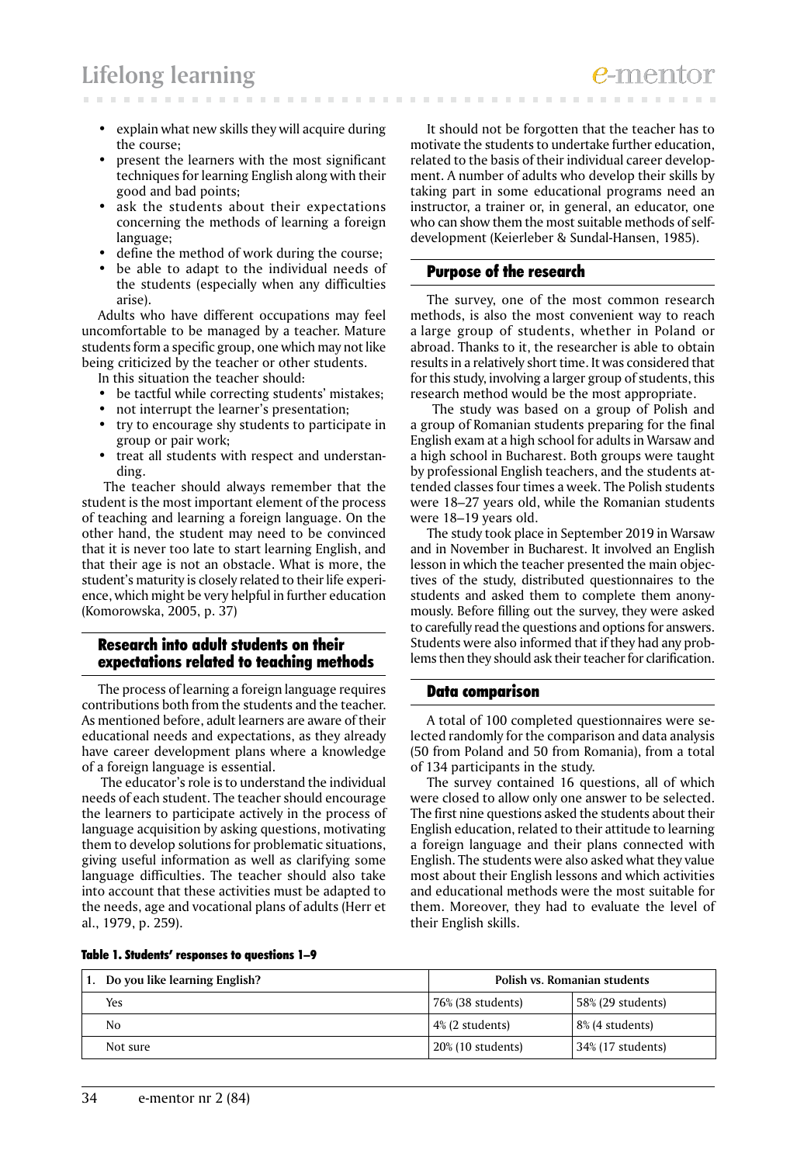# **Lifelong learning**

- explain what new skills they will acquire during the course;
- present the learners with the most significant techniques for learning English along with their good and bad points;
- ask the students about their expectations concerning the methods of learning a foreign language;
- define the method of work during the course;
- be able to adapt to the individual needs of the students (especially when any difficulties arise).

Adults who have different occupations may feel uncomfortable to be managed by a teacher. Mature students form a specific group, one which may not like being criticized by the teacher or other students.

In this situation the teacher should:

- be tactful while correcting students' mistakes;
- not interrupt the learner's presentation;
- try to encourage shy students to participate in group or pair work;
- treat all students with respect and understanding.

 The teacher should always remember that the student is the most important element of the process of teaching and learning a foreign language. On the other hand, the student may need to be convinced that it is never too late to start learning English, and that their age is not an obstacle. What is more, the student's maturity is closely related to their life experience, which might be very helpful in further education (Komorowska, 2005, p. 37)

### Research into adult students on their expectations related to teaching methods

The process of learning a foreign language requires contributions both from the students and the teacher. As mentioned before, adult learners are aware of their educational needs and expectations, as they already have career development plans where a knowledge of a foreign language is essential.

 The educator's role is to understand the individual needs of each student. The teacher should encourage the learners to participate actively in the process of language acquisition by asking questions, motivating them to develop solutions for problematic situations, giving useful information as well as clarifying some language difficulties. The teacher should also take into account that these activities must be adapted to the needs, age and vocational plans of adults (Herr et al., 1979, p. 259).

It should not be forgotten that the teacher has to motivate the students to undertake further education, related to the basis of their individual career development. A number of adults who develop their skills by taking part in some educational programs need an instructor, a trainer or, in general, an educator, one who can show them the most suitable methods of selfdevelopment (Keierleber & Sundal-Hansen, 1985).

### Purpose of the research

The survey, one of the most common research methods, is also the most convenient way to reach a large group of students, whether in Poland or abroad. Thanks to it, the researcher is able to obtain results in a relatively short time. It was considered that for this study, involving a larger group of students, this research method would be the most appropriate.

 The study was based on a group of Polish and a group of Romanian students preparing for the final English exam at a high school for adults in Warsaw and a high school in Bucharest. Both groups were taught by professional English teachers, and the students attended classes four times a week. The Polish students were 18–27 years old, while the Romanian students were 18–19 years old.

The study took place in September 2019 in Warsaw and in November in Bucharest. It involved an English lesson in which the teacher presented the main objectives of the study, distributed questionnaires to the students and asked them to complete them anonymously. Before filling out the survey, they were asked to carefully read the questions and options for answers. Students were also informed that if they had any problems then they should ask their teacher for clarification.

## Data comparison

A total of 100 completed questionnaires were selected randomly for the comparison and data analysis (50 from Poland and 50 from Romania), from a total of 134 participants in the study.

The survey contained 16 questions, all of which were closed to allow only one answer to be selected. The first nine questions asked the students about their English education, related to their attitude to learning a foreign language and their plans connected with English. The students were also asked what they value most about their English lessons and which activities and educational methods were the most suitable for them. Moreover, they had to evaluate the level of their English skills.

|  |  |  | Table 1. Students' responses to questions 1-9 |
|--|--|--|-----------------------------------------------|
|--|--|--|-----------------------------------------------|

| Do you like learning English? | Polish vs. Romanian students |                   |
|-------------------------------|------------------------------|-------------------|
| Yes                           | 76% (38 students)            | 58% (29 students) |
| No                            | $\frac{4}{6}$ (2 students)   | 8% (4 students)   |
| Not sure                      | $20\%$ (10 students)         | 34% (17 students) |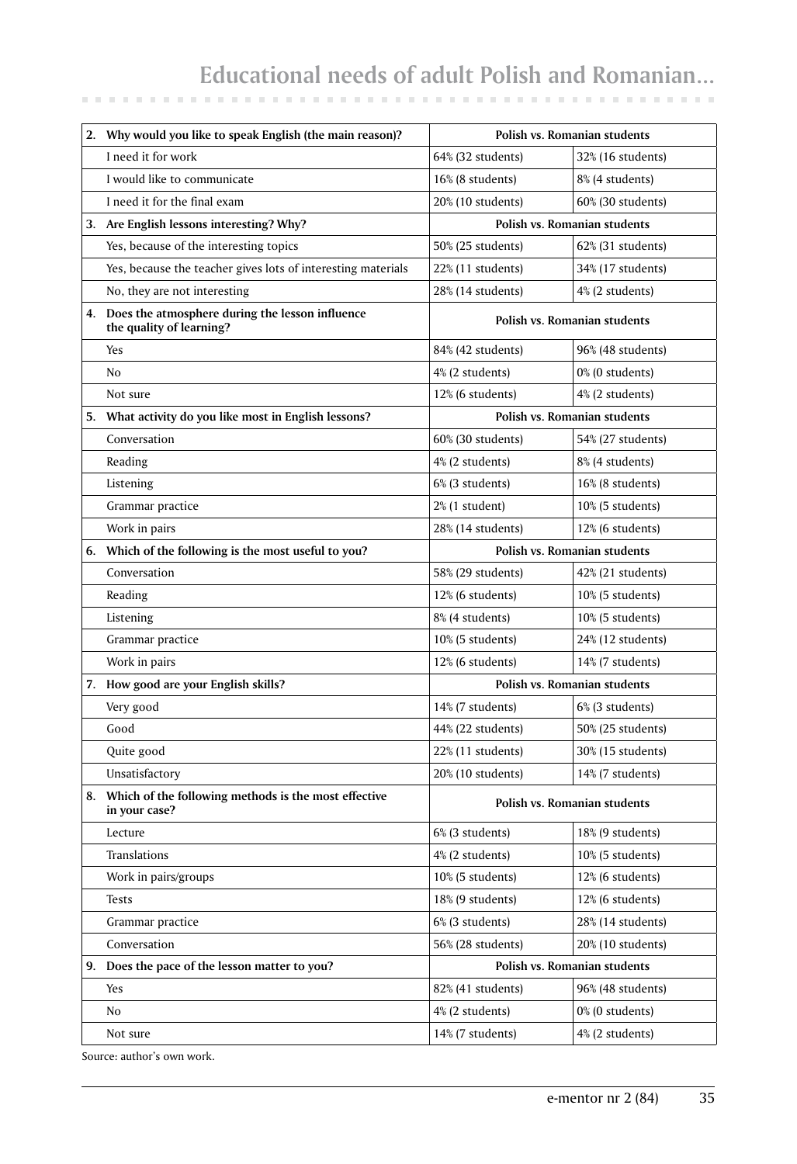# **Educational needs of adult Polish and Romanian...**

| 2. Why would you like to speak English (the main reason)?                      | Polish vs. Romanian students |                              |
|--------------------------------------------------------------------------------|------------------------------|------------------------------|
| I need it for work                                                             | 64% (32 students)            | 32% (16 students)            |
| I would like to communicate                                                    | 16% (8 students)             | 8% (4 students)              |
| I need it for the final exam                                                   | 20% (10 students)            | 60% (30 students)            |
| 3. Are English lessons interesting? Why?                                       |                              | Polish vs. Romanian students |
| Yes, because of the interesting topics                                         | 50% (25 students)            | 62% (31 students)            |
| Yes, because the teacher gives lots of interesting materials                   | 22% (11 students)            | 34% (17 students)            |
| No, they are not interesting                                                   | 28% (14 students)            | 4% (2 students)              |
| 4. Does the atmosphere during the lesson influence<br>the quality of learning? | Polish vs. Romanian students |                              |
| Yes                                                                            | 84% (42 students)            | 96% (48 students)            |
| N <sub>o</sub>                                                                 | 4% (2 students)              | 0% (0 students)              |
| Not sure                                                                       | 12% (6 students)             | 4% (2 students)              |
| 5. What activity do you like most in English lessons?                          | Polish vs. Romanian students |                              |
| Conversation                                                                   | 60% (30 students)            | 54% (27 students)            |
| Reading                                                                        | 4% (2 students)              | 8% (4 students)              |
| Listening                                                                      | 6% (3 students)              | 16% (8 students)             |
| Grammar practice                                                               | 2% (1 student)               | $10\%$ (5 students)          |
| Work in pairs                                                                  | 28% (14 students)            | 12% (6 students)             |
| 6. Which of the following is the most useful to you?                           | Polish vs. Romanian students |                              |
| Conversation                                                                   | 58% (29 students)            | 42% (21 students)            |
| Reading                                                                        | 12% (6 students)             | 10% (5 students)             |
| Listening                                                                      | 8% (4 students)              | $10\%$ (5 students)          |
| Grammar practice                                                               | 10% (5 students)             | 24% (12 students)            |
| Work in pairs                                                                  | 12% (6 students)             | 14% (7 students)             |
| 7. How good are your English skills?                                           | Polish vs. Romanian students |                              |
| Very good                                                                      | 14% (7 students)             | 6% (3 students)              |
| Good                                                                           | 44% (22 students)            | 50% (25 students)            |
| Quite good                                                                     | 22% (11 students)            | 30% (15 students)            |
| Unsatisfactory                                                                 | 20% (10 students)            | 14% (7 students)             |
| 8. Which of the following methods is the most effective<br>in your case?       | Polish vs. Romanian students |                              |
| Lecture                                                                        | 6% (3 students)              | 18% (9 students)             |
| Translations                                                                   | 4% (2 students)              | 10% (5 students)             |
| Work in pairs/groups                                                           | 10% (5 students)             | 12% (6 students)             |
| <b>Tests</b>                                                                   | 18% (9 students)             | 12% (6 students)             |
| Grammar practice                                                               | 6% (3 students)              | 28% (14 students)            |
| Conversation                                                                   | 56% (28 students)            | 20% (10 students)            |
| 9. Does the pace of the lesson matter to you?                                  | Polish vs. Romanian students |                              |
| Yes                                                                            | 82% (41 students)            | 96% (48 students)            |
| No                                                                             | 4% (2 students)              | 0% (0 students)              |
| Not sure                                                                       | 14% (7 students)             | 4% (2 students)              |

Source: author's own work.

**CONTRACTOR**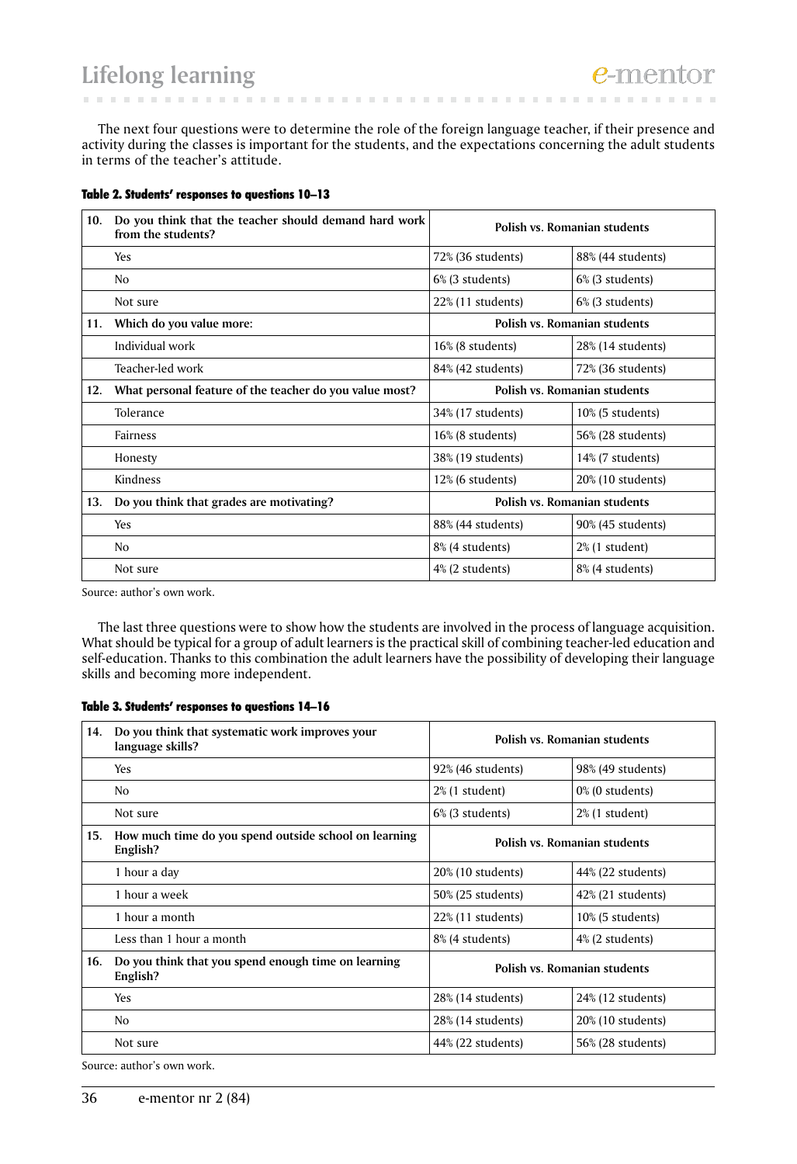# **Lifelong learning**

The next four questions were to determine the role of the foreign language teacher, if their presence and activity during the classes is important for the students, and the expectations concerning the adult students in terms of the teacher's attitude.

**CONTRACTOR** 

| 10. | Do you think that the teacher should demand hard work<br>from the students? | Polish vs. Romanian students |                     |
|-----|-----------------------------------------------------------------------------|------------------------------|---------------------|
|     | Yes                                                                         | 72% (36 students)            | 88% (44 students)   |
|     | N <sub>o</sub>                                                              | 6% (3 students)              | 6% (3 students)     |
|     | Not sure                                                                    | $22\%$ (11 students)         | 6% (3 students)     |
| 11. | Which do you value more:                                                    | Polish vs. Romanian students |                     |
|     | Individual work                                                             | 16% (8 students)             | 28% (14 students)   |
|     | Teacher-led work                                                            | 84% (42 students)            | 72% (36 students)   |
| 12. | What personal feature of the teacher do you value most?                     | Polish vs. Romanian students |                     |
|     | Tolerance                                                                   | 34% (17 students)            | $10\%$ (5 students) |
|     | Fairness                                                                    | 16% (8 students)             | 56% (28 students)   |
|     | Honesty                                                                     | 38% (19 students)            | 14% (7 students)    |
|     | Kindness                                                                    | 12% (6 students)             | 20% (10 students)   |
| 13. | Do you think that grades are motivating?                                    | Polish vs. Romanian students |                     |
|     | Yes                                                                         | 88% (44 students)            | 90% (45 students)   |
|     | N <sub>o</sub>                                                              | 8% (4 students)              | $2\%$ (1 student)   |
|     | Not sure                                                                    | 4% (2 students)              | 8% (4 students)     |

#### Table 2. Students' responses to questions 10–13

Source: author's own work.

The last three questions were to show how the students are involved in the process of language acquisition. What should be typical for a group of adult learners is the practical skill of combining teacher-led education and self-education. Thanks to this combination the adult learners have the possibility of developing their language skills and becoming more independent.

### Table 3. Students' responses to questions 14–16

| 14. | Do you think that systematic work improves your<br>language skills? | Polish vs. Romanian students |                      |
|-----|---------------------------------------------------------------------|------------------------------|----------------------|
|     | Yes                                                                 | 92% (46 students)            | 98% (49 students)    |
|     | N <sub>0</sub>                                                      | $2\%$ (1 student)            | $0\%$ (0 students)   |
|     | Not sure                                                            | 6% (3 students)              | $2\%$ (1 student)    |
| 15. | How much time do you spend outside school on learning<br>English?   | Polish vs. Romanian students |                      |
|     | 1 hour a day                                                        | 20% (10 students)            | 44% (22 students)    |
|     | 1 hour a week                                                       | 50% (25 students)            | 42% (21 students)    |
|     | 1 hour a month                                                      | $22\%$ (11 students)         | $10\%$ (5 students)  |
|     | Less than 1 hour a month                                            | 8% (4 students)              | 4% (2 students)      |
| 16. | Do you think that you spend enough time on learning<br>English?     | Polish vs. Romanian students |                      |
|     | Yes                                                                 | 28% (14 students)            | $24\%$ (12 students) |
|     | N <sub>o</sub>                                                      | 28% (14 students)            | 20% (10 students)    |
|     | Not sure                                                            | 44% (22 students)            | 56% (28 students)    |

Source: author's own work.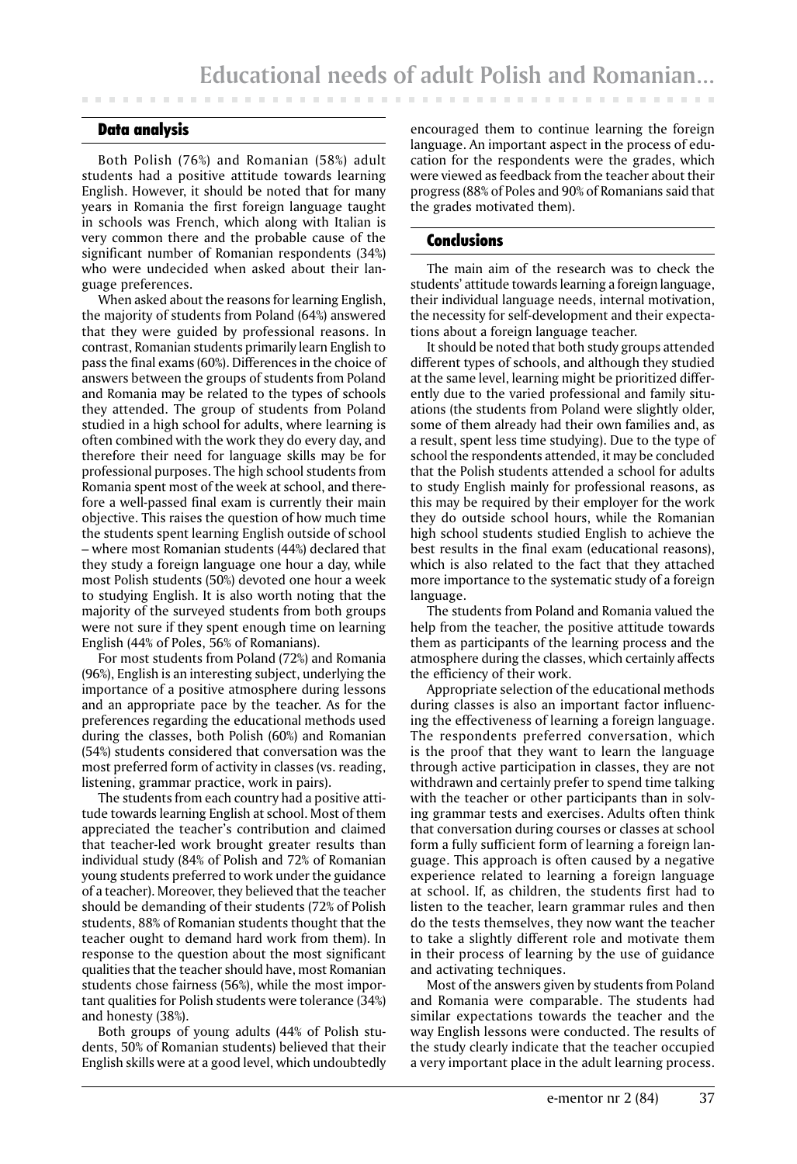## Data analysis

Both Polish (76%) and Romanian (58%) adult students had a positive attitude towards learning English. However, it should be noted that for many years in Romania the first foreign language taught in schools was French, which along with Italian is very common there and the probable cause of the significant number of Romanian respondents (34%) who were undecided when asked about their language preferences.

When asked about the reasons for learning English, the majority of students from Poland (64%) answered that they were guided by professional reasons. In contrast, Romanian students primarily learn English to pass the final exams (60%). Differences in the choice of answers between the groups of students from Poland and Romania may be related to the types of schools they attended. The group of students from Poland studied in a high school for adults, where learning is often combined with the work they do every day, and therefore their need for language skills may be for professional purposes. The high school students from Romania spent most of the week at school, and therefore a well-passed final exam is currently their main objective. This raises the question of how much time the students spent learning English outside of school – where most Romanian students (44%) declared that they study a foreign language one hour a day, while most Polish students (50%) devoted one hour a week to studying English. It is also worth noting that the majority of the surveyed students from both groups were not sure if they spent enough time on learning English (44% of Poles, 56% of Romanians).

For most students from Poland (72%) and Romania (96%), English is an interesting subject, underlying the importance of a positive atmosphere during lessons and an appropriate pace by the teacher. As for the preferences regarding the educational methods used during the classes, both Polish (60%) and Romanian (54%) students considered that conversation was the most preferred form of activity in classes (vs. reading, listening, grammar practice, work in pairs).

The students from each country had a positive attitude towards learning English at school. Most of them appreciated the teacher's contribution and claimed that teacher-led work brought greater results than individual study (84% of Polish and 72% of Romanian young students preferred to work under the guidance of a teacher). Moreover, they believed that the teacher should be demanding of their students (72% of Polish students, 88% of Romanian students thought that the teacher ought to demand hard work from them). In response to the question about the most significant qualities that the teacher should have, most Romanian students chose fairness (56%), while the most important qualities for Polish students were tolerance (34%) and honesty (38%).

Both groups of young adults (44% of Polish students, 50% of Romanian students) believed that their English skills were at a good level, which undoubtedly

encouraged them to continue learning the foreign language. An important aspect in the process of education for the respondents were the grades, which were viewed as feedback from the teacher about their progress (88% of Poles and 90% of Romanians said that the grades motivated them).

#### Conclusions

The main aim of the research was to check the students' attitude towards learning a foreign language, their individual language needs, internal motivation, the necessity for self-development and their expectations about a foreign language teacher.

It should be noted that both study groups attended different types of schools, and although they studied at the same level, learning might be prioritized differently due to the varied professional and family situations (the students from Poland were slightly older, some of them already had their own families and, as a result, spent less time studying). Due to the type of school the respondents attended, it may be concluded that the Polish students attended a school for adults to study English mainly for professional reasons, as this may be required by their employer for the work they do outside school hours, while the Romanian high school students studied English to achieve the best results in the final exam (educational reasons), which is also related to the fact that they attached more importance to the systematic study of a foreign language.

The students from Poland and Romania valued the help from the teacher, the positive attitude towards them as participants of the learning process and the atmosphere during the classes, which certainly affects the efficiency of their work.

Appropriate selection of the educational methods during classes is also an important factor influencing the effectiveness of learning a foreign language. The respondents preferred conversation, which is the proof that they want to learn the language through active participation in classes, they are not withdrawn and certainly prefer to spend time talking with the teacher or other participants than in solving grammar tests and exercises. Adults often think that conversation during courses or classes at school form a fully sufficient form of learning a foreign language. This approach is often caused by a negative experience related to learning a foreign language at school. If, as children, the students first had to listen to the teacher, learn grammar rules and then do the tests themselves, they now want the teacher to take a slightly different role and motivate them in their process of learning by the use of guidance and activating techniques.

Most of the answers given by students from Poland and Romania were comparable. The students had similar expectations towards the teacher and the way English lessons were conducted. The results of the study clearly indicate that the teacher occupied a very important place in the adult learning process.